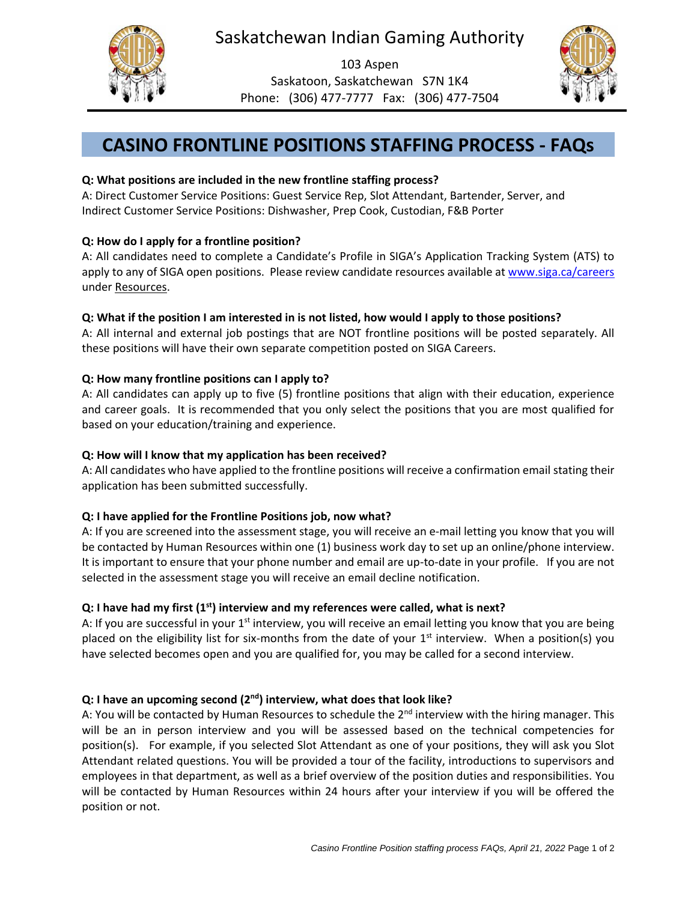



103 Aspen Saskatoon, Saskatchewan S7N 1K4 Phone: (306) 477-7777 Fax: (306) 477-7504



# **CASINO FRONTLINE POSITIONS STAFFING PROCESS - FAQs**

# **Q: What positions are included in the new frontline staffing process?**

A: Direct Customer Service Positions: Guest Service Rep, Slot Attendant, Bartender, Server, and Indirect Customer Service Positions: Dishwasher, Prep Cook, Custodian, F&B Porter

#### **Q: How do I apply for a frontline position?**

A: All candidates need to complete a Candidate's Profile in SIGA's Application Tracking System (ATS) to apply to any of SIGA open positions. Please review candidate resources available a[t www.siga.ca/careers](http://www.siga.ca/careers) under Resources.

#### **Q: What if the position I am interested in is not listed, how would I apply to those positions?**

A: All internal and external job postings that are NOT frontline positions will be posted separately. All these positions will have their own separate competition posted on SIGA Careers.

#### **Q: How many frontline positions can I apply to?**

A: All candidates can apply up to five (5) frontline positions that align with their education, experience and career goals. It is recommended that you only select the positions that you are most qualified for based on your education/training and experience.

#### **Q: How will I know that my application has been received?**

A: All candidates who have applied to the frontline positions will receive a confirmation email stating their application has been submitted successfully.

# **Q: I have applied for the Frontline Positions job, now what?**

A: If you are screened into the assessment stage, you will receive an e-mail letting you know that you will be contacted by Human Resources within one (1) business work day to set up an online/phone interview. It is important to ensure that your phone number and email are up-to-date in your profile. If you are not selected in the assessment stage you will receive an email decline notification.

# **Q: I have had my first (1st) interview and my references were called, what is next?**

A: If you are successful in your  $1<sup>st</sup>$  interview, you will receive an email letting you know that you are being placed on the eligibility list for six-months from the date of your 1<sup>st</sup> interview. When a position(s) you have selected becomes open and you are qualified for, you may be called for a second interview.

# **Q: I have an upcoming second (2nd) interview, what does that look like?**

A: You will be contacted by Human Resources to schedule the 2<sup>nd</sup> interview with the hiring manager. This will be an in person interview and you will be assessed based on the technical competencies for position(s). For example, if you selected Slot Attendant as one of your positions, they will ask you Slot Attendant related questions. You will be provided a tour of the facility, introductions to supervisors and employees in that department, as well as a brief overview of the position duties and responsibilities. You will be contacted by Human Resources within 24 hours after your interview if you will be offered the position or not.